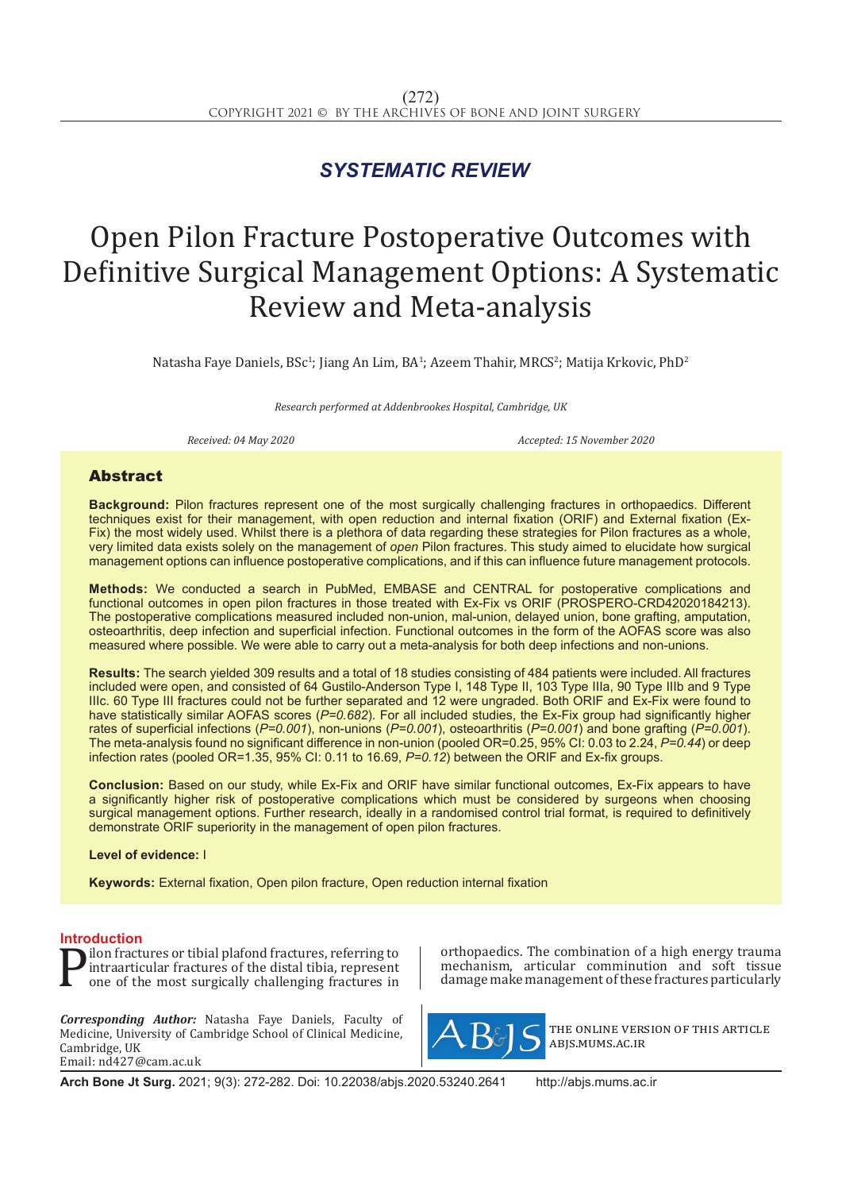## *SYSTEMATIC REVIEW*

# Open Pilon Fracture Postoperative Outcomes with Definitive Surgical Management Options: A Systematic Review and Meta-analysis

Natasha Faye Daniels, BSc<sup>1</sup>; Jiang An Lim, BA<sup>1</sup>; Azeem Thahir, MRCS<sup>2</sup>; Matija Krkovic, PhD<sup>2</sup>

*Research performed at Addenbrookes Hospital, Cambridge, UK*

*Received: 04 May 2020 Accepted: 15 November 2020*

### Abstract

**Background:** Pilon fractures represent one of the most surgically challenging fractures in orthopaedics. Different techniques exist for their management, with open reduction and internal fixation (ORIF) and External fixation (Ex-Fix) the most widely used. Whilst there is a plethora of data regarding these strategies for Pilon fractures as a whole, very limited data exists solely on the management of *open* Pilon fractures. This study aimed to elucidate how surgical management options can influence postoperative complications, and if this can influence future management protocols.

**Methods:** We conducted a search in PubMed, EMBASE and CENTRAL for postoperative complications and functional outcomes in open pilon fractures in those treated with Ex-Fix vs ORIF (PROSPERO-CRD42020184213). The postoperative complications measured included non-union, mal-union, delayed union, bone grafting, amputation, osteoarthritis, deep infection and superficial infection. Functional outcomes in the form of the AOFAS score was also measured where possible. We were able to carry out a meta-analysis for both deep infections and non-unions.

**Results:** The search yielded 309 results and a total of 18 studies consisting of 484 patients were included. All fractures included were open, and consisted of 64 Gustilo-Anderson Type I, 148 Type II, 103 Type IIIa, 90 Type IIIb and 9 Type IIIc. 60 Type III fractures could not be further separated and 12 were ungraded. Both ORIF and Ex-Fix were found to have statistically similar AOFAS scores (*P=0.682*). For all included studies, the Ex-Fix group had significantly higher rates of superficial infections (*P=0.001*), non-unions (*P=0.001*), osteoarthritis (*P=0.001*) and bone grafting (*P=0.001*). The meta-analysis found no significant difference in non-union (pooled OR=0.25, 95% CI: 0.03 to 2.24, *P=0.44*) or deep infection rates (pooled OR=1.35, 95% CI: 0.11 to 16.69, *P=0.12*) between the ORIF and Ex-fix groups.

**Conclusion:** Based on our study, while Ex-Fix and ORIF have similar functional outcomes, Ex-Fix appears to have a significantly higher risk of postoperative complications which must be considered by surgeons when choosing surgical management options. Further research, ideally in a randomised control trial format, is required to definitively demonstrate ORIF superiority in the management of open pilon fractures.

#### **Level of evidence:** I

**Keywords:** External fixation, Open pilon fracture, Open reduction internal fixation

**Introduction**<br>**In Solution** fractures or tibial plafond fractures, referring to **P** lion fractures or tibial platond fractures, referring to<br>intraarticular fractures of the distal tibia, represent<br>one of the most surgically challenging fractures in intraarticular fractures of the distal tibia, represent one of the most surgically challenging fractures in

*Corresponding Author:* Natasha Faye Daniels, Faculty of Medicine, University of Cambridge School of Clinical Medicine, Cambridge, UK Email: nd427@cam.ac.uk

orthopaedics. The combination of a high energy trauma mechanism, articular comminution and soft tissue damage make management of these fractures particularly



the online version of this article abjs.mums.ac.ir

**Arch Bone Jt Surg.** 2021; 9(3): 272-282. Doi: 10.22038/abjs.2020.53240.2641 http://abjs.mums.ac.ir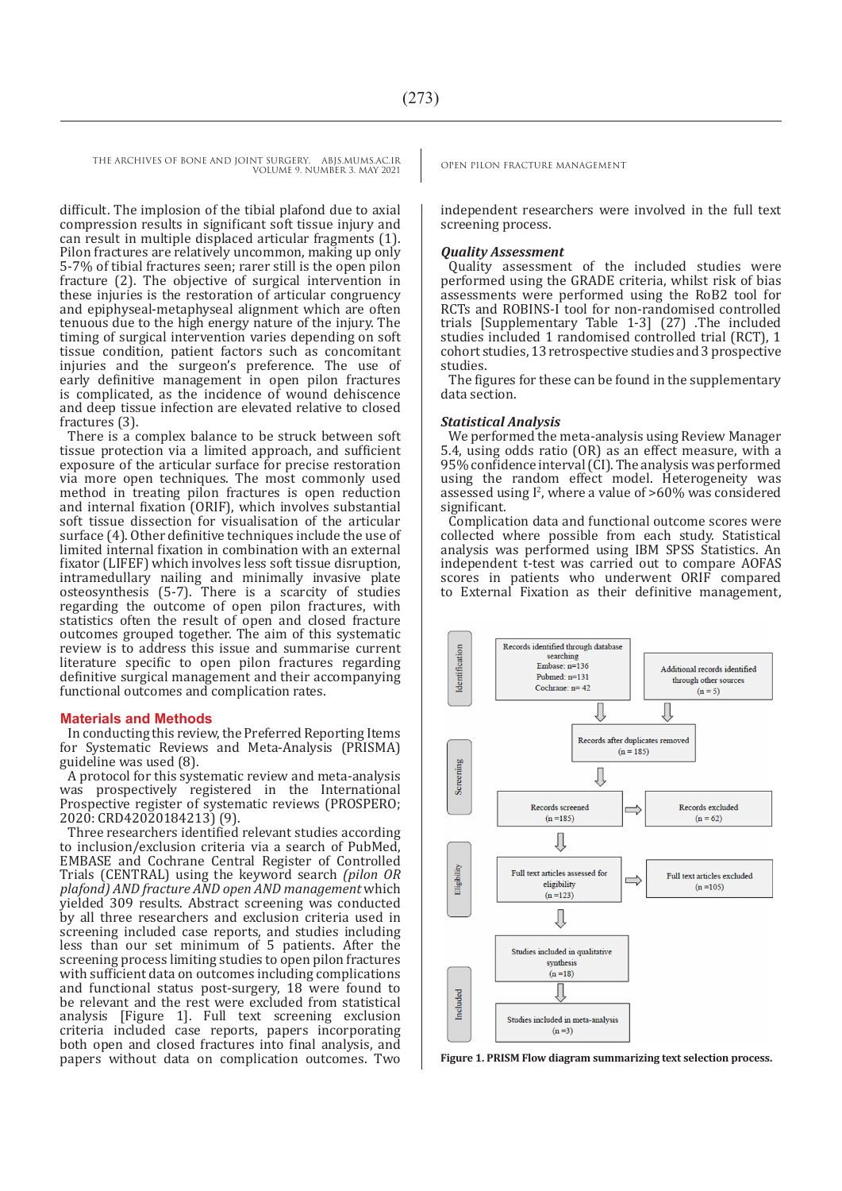difficult. The implosion of the tibial plafond due to axial compression results in significant soft tissue injury and can result in multiple displaced articular fragments (1). Pilon fractures are relatively uncommon, making up only 5-7% of tibial fractures seen; rarer still is the open pilon fracture (2). The objective of surgical intervention in these injuries is the restoration of articular congruency and epiphyseal-metaphyseal alignment which are often tenuous due to the high energy nature of the injury. The timing of surgical intervention varies depending on soft tissue condition, patient factors such as concomitant injuries and the surgeon's preference. The use of early definitive management in open pilon fractures is complicated, as the incidence of wound dehiscence and deep tissue infection are elevated relative to closed fractures (3).

There is a complex balance to be struck between soft tissue protection via a limited approach, and sufficient exposure of the articular surface for precise restoration via more open techniques. The most commonly used method in treating pilon fractures is open reduction and internal fixation (ORIF), which involves substantial soft tissue dissection for visualisation of the articular surface (4). Other definitive techniques include the use of limited internal fixation in combination with an external fixator (LIFEF) which involves less soft tissue disruption, intramedullary nailing and minimally invasive plate osteosynthesis (5-7). There is a scarcity of studies regarding the outcome of open pilon fractures, with statistics often the result of open and closed fracture outcomes grouped together. The aim of this systematic review is to address this issue and summarise current literature specific to open pilon fractures regarding definitive surgical management and their accompanying functional outcomes and complication rates.

#### **Materials and Methods**

In conducting this review, the Preferred Reporting Items for Systematic Reviews and Meta-Analysis (PRISMA) guideline was used (8).

A protocol for this systematic review and meta-analysis was prospectively registered in the International Prospective register of systematic reviews (PROSPERO; 2020: CRD42020184213) (9).

Three researchers identified relevant studies according to inclusion/exclusion criteria via a search of PubMed, EMBASE and Cochrane Central Register of Controlled Trials (CENTRAL) using the keyword search *(pilon OR plafond) AND fracture AND open AND management* which yielded 309 results. Abstract screening was conducted by all three researchers and exclusion criteria used in screening included case reports, and studies including less than our set minimum of 5 patients. After the screening process limiting studies to open pilon fractures with sufficient data on outcomes including complications and functional status post-surgery, 18 were found to be relevant and the rest were excluded from statistical analysis [Figure 1]. Full text screening exclusion criteria included case reports, papers incorporating both open and closed fractures into final analysis, and papers without data on complication outcomes. Two **Figure 1. PRISM Flow diagram summarizing text selection process.**

independent researchers were involved in the full text screening process.

#### *Quality Assessment*

Quality assessment of the included studies were performed using the GRADE criteria, whilst risk of bias assessments were performed using the RoB2 tool for RCTs and ROBINS-I tool for non-randomised controlled trials [Supplementary Table 1-3] (27) .The included studies included 1 randomised controlled trial (RCT), 1 cohort studies, 13 retrospective studies and 3 prospective studies.

The figures for these can be found in the supplementary data section.

#### *Statistical Analysis*

We performed the meta-analysis using Review Manager 5.4, using odds ratio (OR) as an effect measure, with a 95% confidence interval (CI). The analysis was performed using the random effect model. Heterogeneity was assessed using  $l^2$ , where a value of  $>60\%$  was considered significant.

Complication data and functional outcome scores were collected where possible from each study. Statistical analysis was performed using IBM SPSS Statistics. An independent t-test was carried out to compare AOFAS scores in patients who underwent ORIF compared to External Fixation as their definitive management,

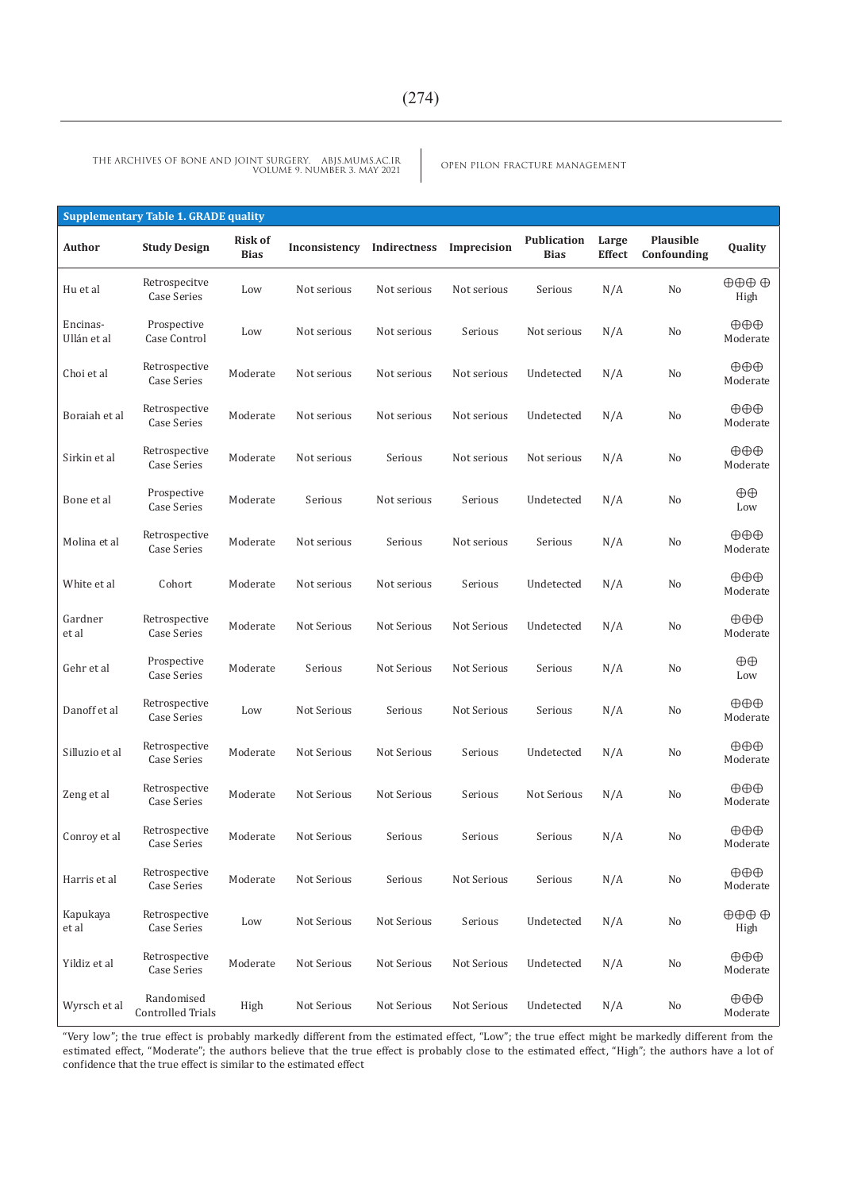OPEN PILON FRACTURE MANAGEMENT THE ARCHIVES OF BONE AND JOINT SURGERY. ABJS.MUMS.AC.IR VOLUME 9. NUMBER 3. MAY 2021

|                         | <b>Supplementary Table 1. GRADE quality</b> |                               |               |              |             |                                   |                 |                          |                                       |
|-------------------------|---------------------------------------------|-------------------------------|---------------|--------------|-------------|-----------------------------------|-----------------|--------------------------|---------------------------------------|
| Author                  | <b>Study Design</b>                         | <b>Risk of</b><br><b>Bias</b> | Inconsistency | Indirectness | Imprecision | <b>Publication</b><br><b>Bias</b> | Large<br>Effect | Plausible<br>Confounding | Quality                               |
| Hu et al                | Retrospecitve<br>Case Series                | Low                           | Not serious   | Not serious  | Not serious | Serious                           | N/A             | No                       | $\oplus \oplus \oplus$<br>High        |
| Encinas-<br>Ullán et al | Prospective<br>Case Control                 | Low                           | Not serious   | Not serious  | Serious     | Not serious                       | N/A             | No                       | $\oplus \oplus \oplus$<br>Moderate    |
| Choi et al              | Retrospective<br>Case Series                | Moderate                      | Not serious   | Not serious  | Not serious | Undetected                        | N/A             | No                       | $\oplus \oplus \oplus$<br>Moderate    |
| Boraiah et al           | Retrospective<br><b>Case Series</b>         | Moderate                      | Not serious   | Not serious  | Not serious | Undetected                        | N/A             | No                       | $\oplus \oplus \oplus$<br>Moderate    |
| Sirkin et al            | Retrospective<br>Case Series                | Moderate                      | Not serious   | Serious      | Not serious | Not serious                       | N/A             | No                       | $\oplus \oplus \oplus$<br>Moderate    |
| Bone et al              | Prospective<br><b>Case Series</b>           | Moderate                      | Serious       | Not serious  | Serious     | Undetected                        | N/A             | No                       | $\oplus$<br>Low                       |
| Molina et al            | Retrospective<br>Case Series                | Moderate                      | Not serious   | Serious      | Not serious | Serious                           | N/A             | No                       | $\oplus \oplus \oplus$<br>Moderate    |
| White et al             | Cohort                                      | Moderate                      | Not serious   | Not serious  | Serious     | Undetected                        | N/A             | No                       | $\oplus \oplus \oplus$<br>Moderate    |
| Gardner<br>et al        | Retrospective<br>Case Series                | Moderate                      | Not Serious   | Not Serious  | Not Serious | Undetected                        | N/A             | No                       | $\oplus \oplus \oplus$<br>Moderate    |
| Gehr et al              | Prospective<br><b>Case Series</b>           | Moderate                      | Serious       | Not Serious  | Not Serious | Serious                           | N/A             | No                       | $\oplus$<br>Low                       |
| Danoff et al            | Retrospective<br>Case Series                | Low                           | Not Serious   | Serious      | Not Serious | Serious                           | N/A             | No                       | $\oplus \oplus \oplus$<br>Moderate    |
| Silluzio et al          | Retrospective<br>Case Series                | Moderate                      | Not Serious   | Not Serious  | Serious     | Undetected                        | N/A             | No                       | $\oplus \oplus \oplus$<br>Moderate    |
| Zeng et al              | Retrospective<br><b>Case Series</b>         | Moderate                      | Not Serious   | Not Serious  | Serious     | Not Serious                       | N/A             | No                       | $\oplus \oplus \oplus$<br>Moderate    |
| Conroy et al            | Retrospective<br>Case Series                | Moderate                      | Not Serious   | Serious      | Serious     | Serious                           | N/A             | No                       | ⊕⊕⊕<br>Moderate                       |
| Harris et al            | Retrospective<br><b>Case Series</b>         | Moderate                      | Not Serious   | Serious      | Not Serious | Serious                           | N/A             | No                       | $\oplus \oplus \oplus$<br>Moderate    |
| Kapukaya<br>et al       | Retrospective<br>Case Series                | Low                           | Not Serious   | Not Serious  | Serious     | Undetected                        | N/A             | No                       | $\oplus \oplus \oplus \oplus$<br>High |
| Yildiz et al            | Retrospective<br><b>Case Series</b>         | Moderate                      | Not Serious   | Not Serious  | Not Serious | Undetected                        | N/A             | No                       | $\oplus \oplus \oplus$<br>Moderate    |
| Wyrsch et al            | Randomised<br><b>Controlled Trials</b>      | High                          | Not Serious   | Not Serious  | Not Serious | Undetected                        | N/A             | No                       | $\oplus \oplus \oplus$<br>Moderate    |

"Very low"; the true effect is probably markedly different from the estimated effect, "Low"; the true effect might be markedly different from the estimated effect, "Moderate"; the authors believe that the true effect is probably close to the estimated effect, "High"; the authors have a lot of confidence that the true effect is similar to the estimated effect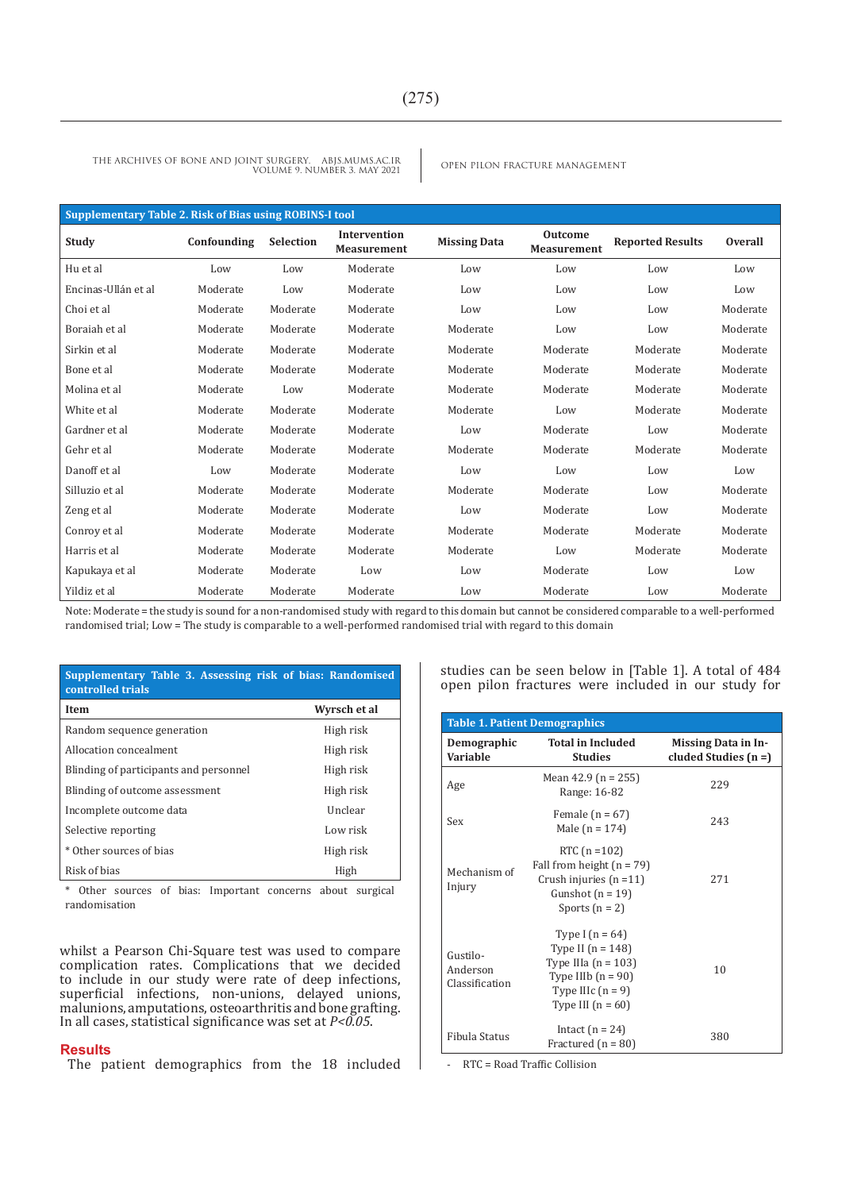|                     | Supplementary Table 2. Risk of Bias using ROBINS-I tool |                  |                                    |                     |                                      |                         |                |  |  |
|---------------------|---------------------------------------------------------|------------------|------------------------------------|---------------------|--------------------------------------|-------------------------|----------------|--|--|
| Study               | Confounding                                             | <b>Selection</b> | Intervention<br><b>Measurement</b> | <b>Missing Data</b> | <b>Outcome</b><br><b>Measurement</b> | <b>Reported Results</b> | <b>Overall</b> |  |  |
| Hu et al            | Low                                                     | Low              | Moderate                           | Low                 | Low                                  | Low                     | Low            |  |  |
| Encinas-Ullán et al | Moderate                                                | Low              | Moderate                           | Low                 | Low                                  | Low                     | Low            |  |  |
| Choi et al          | Moderate                                                | Moderate         | Moderate                           | Low                 | Low                                  | Low                     | Moderate       |  |  |
| Boraiah et al       | Moderate                                                | Moderate         | Moderate                           | Moderate            | Low                                  | Low                     | Moderate       |  |  |
| Sirkin et al        | Moderate                                                | Moderate         | Moderate                           | Moderate            | Moderate                             | Moderate                | Moderate       |  |  |
| Bone et al          | Moderate                                                | Moderate         | Moderate                           | Moderate            | Moderate                             | Moderate                | Moderate       |  |  |
| Molina et al        | Moderate                                                | Low              | Moderate                           | Moderate            | Moderate                             | Moderate                | Moderate       |  |  |
| White et al         | Moderate                                                | Moderate         | Moderate                           | Moderate            | Low                                  | Moderate                | Moderate       |  |  |
| Gardner et al       | Moderate                                                | Moderate         | Moderate                           | Low                 | Moderate                             | Low                     | Moderate       |  |  |
| Gehr et al          | Moderate                                                | Moderate         | Moderate                           | Moderate            | Moderate                             | Moderate                | Moderate       |  |  |
| Danoff et al        | Low                                                     | Moderate         | Moderate                           | Low                 | Low                                  | Low                     | Low            |  |  |
| Silluzio et al      | Moderate                                                | Moderate         | Moderate                           | Moderate            | Moderate                             | Low                     | Moderate       |  |  |
| Zeng et al          | Moderate                                                | Moderate         | Moderate                           | Low                 | Moderate                             | Low                     | Moderate       |  |  |
| Conroy et al        | Moderate                                                | Moderate         | Moderate                           | Moderate            | Moderate                             | Moderate                | Moderate       |  |  |
| Harris et al        | Moderate                                                | Moderate         | Moderate                           | Moderate            | Low                                  | Moderate                | Moderate       |  |  |
| Kapukaya et al      | Moderate                                                | Moderate         | Low                                | Low                 | Moderate                             | Low                     | Low            |  |  |
| Yildiz et al        | Moderate                                                | Moderate         | Moderate                           | Low                 | Moderate                             | Low                     | Moderate       |  |  |

Note: Moderate = the study is sound for a non-randomised study with regard to this domain but cannot be considered comparable to a well-performed randomised trial; Low = The study is comparable to a well-performed randomised trial with regard to this domain

| Supplementary Table 3. Assessing risk of bias: Randomised<br>controlled trials |              |
|--------------------------------------------------------------------------------|--------------|
| Item                                                                           | Wyrsch et al |
| Random sequence generation                                                     | High risk    |
| Allocation concealment                                                         | High risk    |
| Blinding of participants and personnel                                         | High risk    |
| Blinding of outcome assessment                                                 | High risk    |
| Incomplete outcome data                                                        | Unclear      |
| Selective reporting                                                            | Low risk     |
| * Other sources of bias                                                        | High risk    |
| Risk of bias                                                                   | High         |

\* Other sources of bias: Important concerns about surgical randomisation

whilst a Pearson Chi-Square test was used to compare complication rates. Complications that we decided to include in our study were rate of deep infections, superficial infections, non-unions, delayed unions, malunions, amputations, osteoarthritis and bone grafting. In all cases, statistical significance was set at *P<0.05*.

#### **Results**

The patient demographics from the 18 included

studies can be seen below in [Table 1]. A total of 484 open pilon fractures were included in our study for

|                                        | <b>Table 1. Patient Demographics</b>                                                                                                    |                                               |
|----------------------------------------|-----------------------------------------------------------------------------------------------------------------------------------------|-----------------------------------------------|
| Demographic<br>Variable                | <b>Total in Included</b><br><b>Studies</b>                                                                                              | Missing Data in In-<br>cluded Studies $(n =)$ |
| Age                                    | Mean 42.9 ( $n = 255$ )<br>Range: 16-82                                                                                                 | 229                                           |
| Sex                                    | Female $(n = 67)$<br>Male ( $n = 174$ )                                                                                                 | 243                                           |
| Mechanism of<br>Injury                 | RTC $(n = 102)$<br>Fall from height $(n = 79)$<br>Crush injuries $(n=11)$<br>Gunshot $(n = 19)$<br>Sports $(n = 2)$                     | 271                                           |
| Gustilo-<br>Anderson<br>Classification | Type I $(n = 64)$<br>Type II $(n = 148)$<br>Type IIIa $(n = 103)$<br>Type IIIb $(n = 90)$<br>Type IIIc $(n = 9)$<br>Type III $(n = 60)$ | 10                                            |
| Fibula Status                          | Intact $(n = 24)$<br>Fractured $(n = 80)$                                                                                               | 380                                           |

- RTC = Road Traffic Collision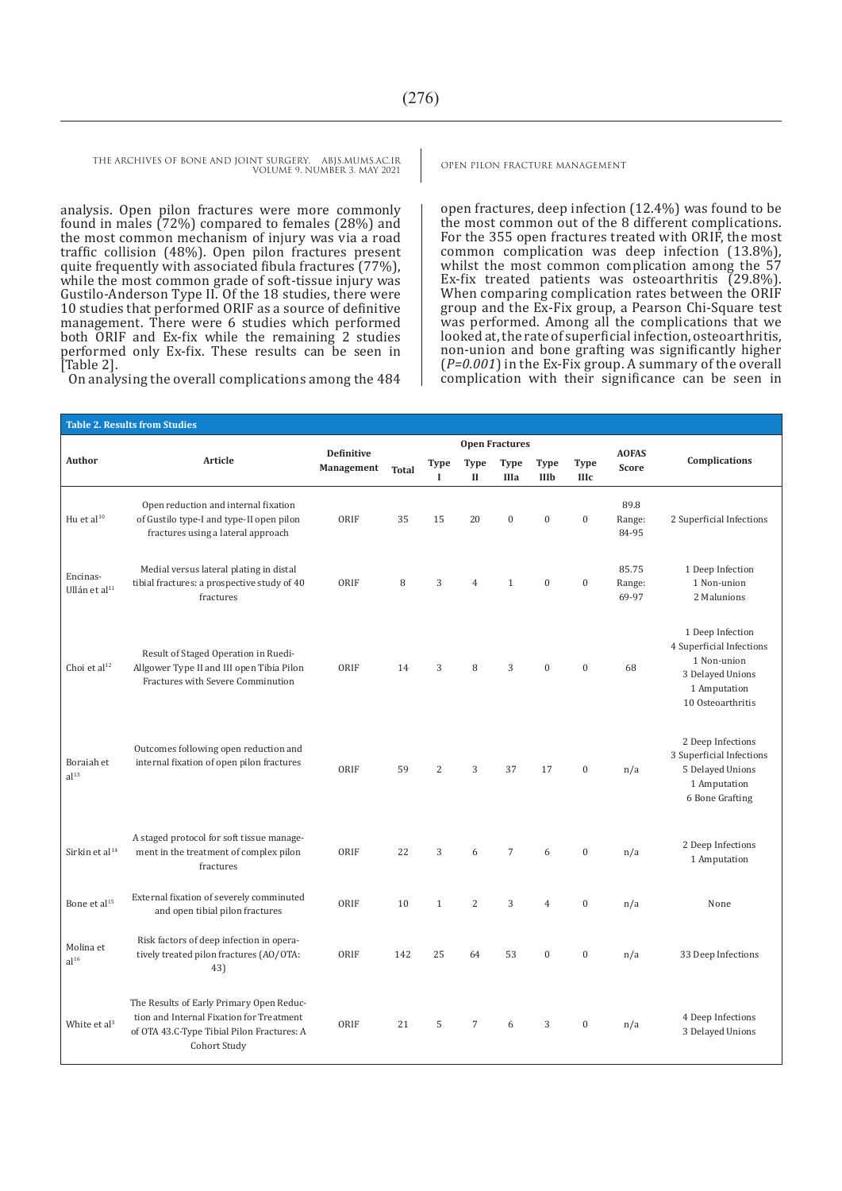analysis. Open pilon fractures were more commonly found in males (72%) compared to females (28%) and the most common mechanism of injury was via a road traffic collision (48%). Open pilon fractures present quite frequently with associated fibula fractures (77%), while the most common grade of soft-tissue injury was Gustilo-Anderson Type II. Of the 18 studies, there were 10 studies that performed ORIF as a source of definitive management. There were 6 studies which performed both ORIF and Ex-fix while the remaining 2 studies performed only Ex-fix. These results can be seen in [Table 2].

On analysing the overall complications among the 484

open fractures, deep infection (12.4%) was found to be the most common out of the 8 different complications. For the 355 open fractures treated with ORIF, the most common complication was deep infection (13.8%), whilst the most common complication among the 57 Ex-fix treated patients was osteoarthritis (29.8%). When comparing complication rates between the ORIF group and the Ex-Fix group, a Pearson Chi-Square test was performed. Among all the complications that we looked at, the rate of superficial infection, osteoarthritis, non-union and bone grafting was significantly higher (*P=0.001*) in the Ex-Fix group. A summary of the overall complication with their significance can be seen in

|                                       | <b>Table 2. Results from Studies</b>                                                                                                               |                                 |              |                            |                             |                            |                            |                            |                          |                                                                                                                      |
|---------------------------------------|----------------------------------------------------------------------------------------------------------------------------------------------------|---------------------------------|--------------|----------------------------|-----------------------------|----------------------------|----------------------------|----------------------------|--------------------------|----------------------------------------------------------------------------------------------------------------------|
|                                       |                                                                                                                                                    |                                 |              |                            |                             | <b>Open Fractures</b>      |                            |                            |                          |                                                                                                                      |
| Author                                | Article                                                                                                                                            | <b>Definitive</b><br>Management | <b>Total</b> | <b>Type</b><br>$\mathbf I$ | <b>Type</b><br>$\mathbf{I}$ | <b>Type</b><br><b>IIIa</b> | <b>Type</b><br><b>IIIb</b> | <b>Type</b><br><b>IIIc</b> | <b>AOFAS</b><br>Score    | Complications                                                                                                        |
| Hu et al <sup>10</sup>                | Open reduction and internal fixation<br>of Gustilo type-I and type-II open pilon<br>fractures using a lateral approach                             | ORIF                            | 35           | 15                         | 20                          | $\mathbf{0}$               | $\boldsymbol{0}$           | $\boldsymbol{0}$           | 89.8<br>Range:<br>84-95  | 2 Superficial Infections                                                                                             |
| Encinas-<br>Ullán et al <sup>11</sup> | Medial versus lateral plating in distal<br>tibial fractures: a prospective study of 40<br>fractures                                                | ORIF                            | 8            | 3                          | $\overline{4}$              | $\mathbf{1}$               | $\mathbf{0}$               | $\mathbf{0}$               | 85.75<br>Range:<br>69-97 | 1 Deep Infection<br>1 Non-union<br>2 Malunions                                                                       |
| Choi et al <sup>12</sup>              | Result of Staged Operation in Ruedi-<br>Allgower Type II and III open Tibia Pilon<br>Fractures with Severe Comminution                             | ORIF                            | 14           | 3                          | 8                           | 3                          | $\mathbf{0}$               | $\mathbf{0}$               | 68                       | 1 Deep Infection<br>4 Superficial Infections<br>1 Non-union<br>3 Delayed Unions<br>1 Amputation<br>10 Osteoarthritis |
| Boraiah et<br>al <sup>13</sup>        | Outcomes following open reduction and<br>internal fixation of open pilon fractures                                                                 | ORIF                            | 59           | $\overline{2}$             | 3                           | 37                         | 17                         | $\mathbf{0}$               | n/a                      | 2 Deep Infections<br>3 Superficial Infections<br>5 Delayed Unions<br>1 Amputation<br>6 Bone Grafting                 |
| Sirkin et al <sup>14</sup>            | A staged protocol for soft tissue manage-<br>ment in the treatment of complex pilon<br>fractures                                                   | ORIF                            | 22           | 3                          | 6                           | $\overline{7}$             | 6                          | $\mathbf{0}$               | n/a                      | 2 Deep Infections<br>1 Amputation                                                                                    |
| Bone et al <sup>15</sup>              | External fixation of severely comminuted<br>and open tibial pilon fractures                                                                        | ORIF                            | 10           | $\mathbf{1}$               | $\overline{2}$              | 3                          | $\overline{4}$             | $\mathbf{0}$               | n/a                      | None                                                                                                                 |
| Molina et<br>al <sup>16</sup>         | Risk factors of deep infection in opera-<br>tively treated pilon fractures (AO/OTA:<br>43)                                                         | ORIF                            | 142          | 25                         | 64                          | 53                         | $\theta$                   | $\mathbf{0}$               | n/a                      | 33 Deep Infections                                                                                                   |
| White et al <sup>3</sup>              | The Results of Early Primary Open Reduc-<br>tion and Internal Fixation for Treatment<br>of OTA 43.C-Type Tibial Pilon Fractures: A<br>Cohort Study | ORIF                            | 21           | 5                          | $\overline{7}$              | 6                          | 3                          | $\mathbf{0}$               | n/a                      | 4 Deep Infections<br>3 Delayed Unions                                                                                |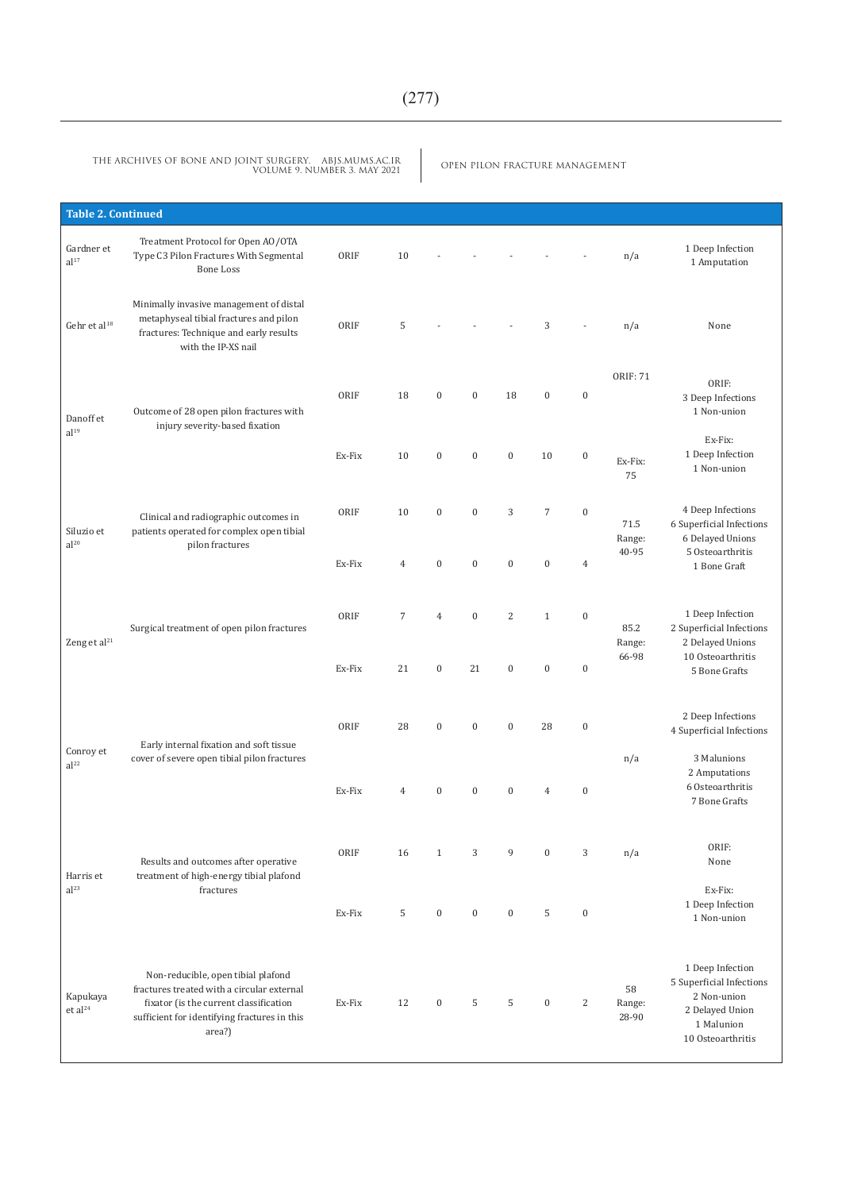OPEN PILON FRACTURE MANAGEMENT THE ARCHIVES OF BONE AND JOINT SURGERY. ABJS.MUMS.AC.IR VOLUME 9. NUMBER 3. MAY 2021

| <b>Table 2. Continued</b>       |                                                                                                                                                                                      |        |                |                  |                  |                |                |                  |                       |                                                                                                                   |
|---------------------------------|--------------------------------------------------------------------------------------------------------------------------------------------------------------------------------------|--------|----------------|------------------|------------------|----------------|----------------|------------------|-----------------------|-------------------------------------------------------------------------------------------------------------------|
| Gardner et<br>al <sup>17</sup>  | Treatment Protocol for Open AO/OTA<br>Type C3 Pilon Fractures With Segmental<br><b>Bone Loss</b>                                                                                     | ORIF   | 10             |                  |                  |                |                |                  | n/a                   | 1 Deep Infection<br>1 Amputation                                                                                  |
| Gehr et al <sup>18</sup>        | Minimally invasive management of distal<br>metaphyseal tibial fractures and pilon<br>fractures: Technique and early results<br>with the IP-XS nail                                   | ORIF   | 5              |                  |                  |                | 3              |                  | n/a                   | None                                                                                                              |
| Danoff et<br>al <sup>19</sup>   | Outcome of 28 open pilon fractures with<br>injury severity-based fixation                                                                                                            | ORIF   | 18             | $\boldsymbol{0}$ | $\boldsymbol{0}$ | 18             | $\bf{0}$       | $\boldsymbol{0}$ | <b>ORIF: 71</b>       | ORIF:<br>3 Deep Infections<br>1 Non-union                                                                         |
|                                 |                                                                                                                                                                                      | Ex-Fix | 10             | $\boldsymbol{0}$ | $\boldsymbol{0}$ | $\overline{0}$ | 10             | $\boldsymbol{0}$ | Ex-Fix:<br>75         | Ex-Fix:<br>1 Deep Infection<br>1 Non-union                                                                        |
| Siluzio et<br>al <sup>20</sup>  | Clinical and radiographic outcomes in<br>patients operated for complex open tibial<br>pilon fractures                                                                                | ORIF   | 10             | $\boldsymbol{0}$ | $\boldsymbol{0}$ | 3              | $\overline{7}$ | $\boldsymbol{0}$ | 71.5<br>Range:        | 4 Deep Infections<br>6 Superficial Infections<br>6 Delayed Unions                                                 |
|                                 |                                                                                                                                                                                      | Ex-Fix | $\overline{4}$ | $\boldsymbol{0}$ | $\boldsymbol{0}$ | $\mathbf{0}$   | $\mathbf{0}$   | $\overline{4}$   | 40-95                 | 5 Osteoarthritis<br>1 Bone Graft                                                                                  |
| Zeng et al <sup>21</sup>        | Surgical treatment of open pilon fractures                                                                                                                                           | ORIF   | $\overline{7}$ | $\overline{4}$   | $\boldsymbol{0}$ | $\overline{2}$ | $1\,$          | $\mathbf{0}$     | 85.2<br>Range:        | 1 Deep Infection<br>2 Superficial Infections<br>2 Delayed Unions                                                  |
|                                 |                                                                                                                                                                                      | Ex-Fix | 21             | $\boldsymbol{0}$ | 21               | $\bf{0}$       | $\bf{0}$       | $\boldsymbol{0}$ | 66-98                 | 10 Osteoarthritis<br>5 Bone Grafts                                                                                |
|                                 | Early internal fixation and soft tissue                                                                                                                                              | ORIF   | 28             | $\boldsymbol{0}$ | $\boldsymbol{0}$ | $\mathbf{0}$   | 28             | $\boldsymbol{0}$ |                       | 2 Deep Infections<br>4 Superficial Infections                                                                     |
| Conroy et<br>al <sup>22</sup>   | cover of severe open tibial pilon fractures                                                                                                                                          | Ex-Fix | $\overline{4}$ | $\boldsymbol{0}$ | $\boldsymbol{0}$ | $\bf{0}$       | $\overline{4}$ | $\mathbf{0}$     | n/a                   | 3 Malunions<br>2 Amputations<br>6 Osteoarthritis<br>7 Bone Grafts                                                 |
| Harris et                       | Results and outcomes after operative<br>treatment of high-energy tibial plafond                                                                                                      | ORIF   | 16             | $\mathbf{1}$     | 3                | 9              | $\mathbf{0}$   | 3                | n/a                   | ORIF:<br>None                                                                                                     |
| al <sup>23</sup>                | fractures                                                                                                                                                                            | Ex-Fix | 5              | $\bf{0}$         | $\bf{0}$         | $\bf{0}$       | 5              | $\boldsymbol{0}$ |                       | Ex-Fix:<br>1 Deep Infection<br>1 Non-union                                                                        |
| Kapukaya<br>et al <sup>24</sup> | Non-reducible, open tibial plafond<br>fractures treated with a circular external<br>fixator (is the current classification<br>sufficient for identifying fractures in this<br>area?) | Ex-Fix | 12             | $\bf{0}$         | 5                | 5              | $\bf{0}$       | $\overline{c}$   | 58<br>Range:<br>28-90 | 1 Deep Infection<br>5 Superficial Infections<br>2 Non-union<br>2 Delayed Union<br>1 Malunion<br>10 Osteoarthritis |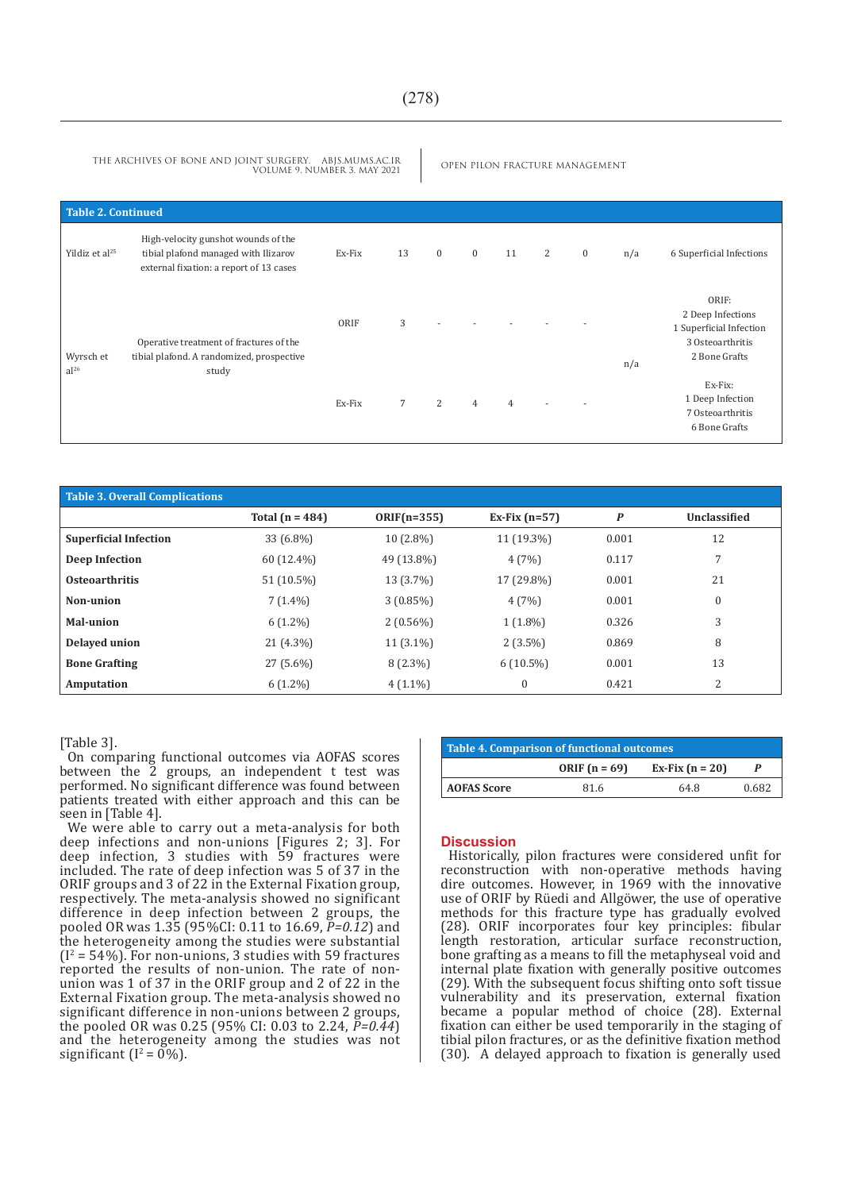| <b>Table 2. Continued</b>     |                                                                                                                        |        |                |              |              |    |   |              |     |                                                                                            |
|-------------------------------|------------------------------------------------------------------------------------------------------------------------|--------|----------------|--------------|--------------|----|---|--------------|-----|--------------------------------------------------------------------------------------------|
| Yildiz et al <sup>25</sup>    | High-velocity gunshot wounds of the<br>tibial plafond managed with Ilizarov<br>external fixation: a report of 13 cases | Ex-Fix | 13             | $\mathbf{0}$ | $\mathbf{0}$ | 11 | 2 | $\mathbf{0}$ | n/a | 6 Superficial Infections                                                                   |
| Wyrsch et<br>al <sup>26</sup> | Operative treatment of fractures of the<br>tibial plafond. A randomized, prospective                                   | ORIF   | 3              |              |              |    |   |              | n/a | ORIF:<br>2 Deep Infections<br>1 Superficial Infection<br>3 Osteoarthritis<br>2 Bone Grafts |
|                               | study                                                                                                                  | Ex-Fix | $\overline{7}$ | 2            | 4            |    |   |              |     | Ex-Fix:<br>1 Deep Infection<br>7 Osteoarthritis<br>6 Bone Grafts                           |

| <b>Table 3. Overall Complications</b> |                     |               |                 |                  |              |
|---------------------------------------|---------------------|---------------|-----------------|------------------|--------------|
|                                       | Total ( $n = 484$ ) | $ORIF(n=355)$ | Ex-Fix $(n=57)$ | $\boldsymbol{P}$ | Unclassified |
| <b>Superficial Infection</b>          | 33 (6.8%)           | $10(2.8\%)$   | 11 (19.3%)      | 0.001            | 12           |
| Deep Infection                        | 60 (12.4%)          | 49 (13.8%)    | 4(7%)           | 0.117            | 7            |
| <b>Osteoarthritis</b>                 | 51 (10.5%)          | 13 (3.7%)     | 17 (29.8%)      | 0.001            | 21           |
| Non-union                             | $7(1.4\%)$          | $3(0.85\%)$   | 4(7%)           | 0.001            | 0            |
| <b>Mal-union</b>                      | $6(1.2\%)$          | $2(0.56\%)$   | $1(1.8\%)$      | 0.326            | 3            |
| Delayed union                         | 21 (4.3%)           | $11(3.1\%)$   | $2(3.5\%)$      | 0.869            | 8            |
| <b>Bone Grafting</b>                  | 27 (5.6%)           | $8(2.3\%)$    | $6(10.5\%)$     | 0.001            | 13           |
| Amputation                            | $6(1.2\%)$          | $4(1.1\%)$    | 0               | 0.421            | 2            |

[Table 3].

On comparing functional outcomes via AOFAS scores between the 2 groups, an independent t test was performed. No significant difference was found between patients treated with either approach and this can be seen in [Table 4].

We were able to carry out a meta-analysis for both deep infections and non-unions [Figures 2; 3]. For deep infection, 3 studies with 59 fractures were included. The rate of deep infection was 5 of 37 in the ORIF groups and 3 of 22 in the External Fixation group, respectively. The meta-analysis showed no significant difference in deep infection between 2 groups, the pooled OR was 1.35 (95%CI: 0.11 to 16.69, *P=0.12*) and the heterogeneity among the studies were substantial  $(I^2 = 54\%)$ . For non-unions, 3 studies with 59 fractures reported the results of non-union. The rate of nonunion was 1 of 37 in the ORIF group and 2 of 22 in the External Fixation group. The meta-analysis showed no significant difference in non-unions between 2 groups, the pooled OR was 0.25 (95% CI: 0.03 to 2.24, *P=0.44*) and the heterogeneity among the studies was not significant ( $I^2 = 0\%$ ).

| <b>Table 4. Comparison of functional outcomes</b> |                 |                   |       |  |  |  |  |
|---------------------------------------------------|-----------------|-------------------|-------|--|--|--|--|
|                                                   | ORIF $(n = 69)$ | Ex-Fix $(n = 20)$ |       |  |  |  |  |
| <b>AOFAS Score</b>                                | 81.6            | 64.8              | 0.682 |  |  |  |  |

#### **Discussion**

Historically, pilon fractures were considered unfit for reconstruction with non-operative methods having dire outcomes. However, in 1969 with the innovative use of ORIF by Rüedi and Allgöwer, the use of operative methods for this fracture type has gradually evolved (28). ORIF incorporates four key principles: fibular length restoration, articular surface reconstruction, bone grafting as a means to fill the metaphyseal void and internal plate fixation with generally positive outcomes (29). With the subsequent focus shifting onto soft tissue vulnerability and its preservation, external fixation became a popular method of choice (28). External fixation can either be used temporarily in the staging of tibial pilon fractures, or as the definitive fixation method (30). A delayed approach to fixation is generally used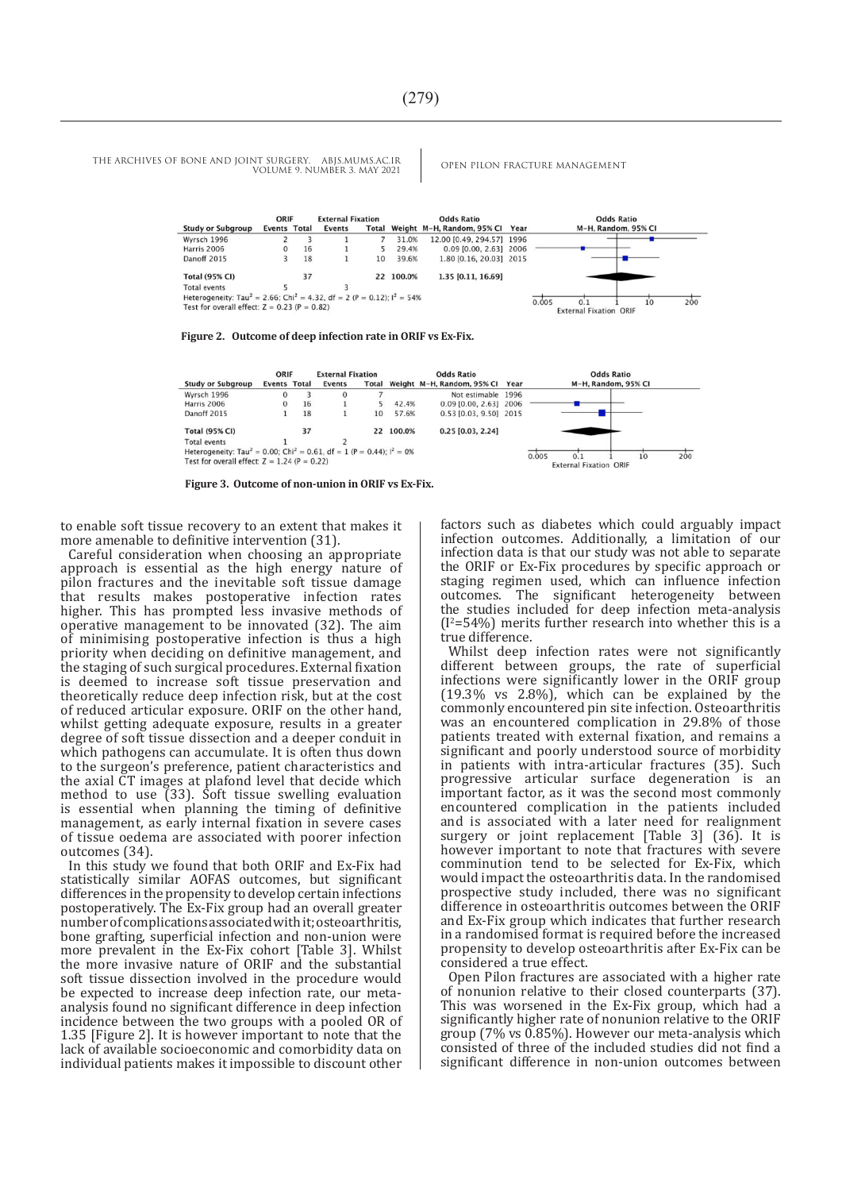|                                                                                                          | ORIF         |    | <b>External Fixation</b> |    |           | <b>Odds Ratio</b>                     | <b>Odds Ratio</b>             |  |
|----------------------------------------------------------------------------------------------------------|--------------|----|--------------------------|----|-----------|---------------------------------------|-------------------------------|--|
| <b>Study or Subgroup</b>                                                                                 | Events Total |    | Events                   |    |           | Total Weight M-H, Random, 95% Cl Year | M-H, Random, 95% CI           |  |
| Wyrsch 1996                                                                                              |              |    |                          |    | 31.0%     | 12.00 [0.49, 294.57] 1996             |                               |  |
| Harris 2006                                                                                              |              | 16 |                          |    | 29.4%     | 0.09 [0.00, 2.63] 2006                |                               |  |
| Danoff 2015                                                                                              |              | 18 |                          | 10 | 39.6%     | 1.80 0.16, 20.03 2015                 |                               |  |
| <b>Total (95% CI)</b>                                                                                    |              | 37 |                          |    | 22 100.0% | 1.35 [0.11, 16.69]                    |                               |  |
| Total events                                                                                             |              |    |                          |    |           |                                       |                               |  |
| Heterogeneity: Tau <sup>2</sup> = 2.66; Chi <sup>2</sup> = 4.32, df = 2 (P = 0.12); l <sup>2</sup> = 54% |              |    |                          |    |           |                                       | 0.005<br>200<br>10            |  |
| Test for overall effect: $Z = 0.23$ (P = 0.82)                                                           |              |    |                          |    |           |                                       | <b>External Fixation ORIF</b> |  |

**Figure 2. Outcome of deep infection rate in ORIF vs Ex-Fix.**



**Figure 3. Outcome of non-union in ORIF vs Ex-Fix.**

to enable soft tissue recovery to an extent that makes it more amenable to definitive intervention (31).

Careful consideration when choosing an appropriate approach is essential as the high energy nature of pilon fractures and the inevitable soft tissue damage that results makes postoperative infection rates higher. This has prompted less invasive methods of operative management to be innovated (32). The aim of minimising postoperative infection is thus a high priority when deciding on definitive management, and the staging of such surgical procedures. External fixation is deemed to increase soft tissue preservation and theoretically reduce deep infection risk, but at the cost of reduced articular exposure. ORIF on the other hand, whilst getting adequate exposure, results in a greater degree of soft tissue dissection and a deeper conduit in which pathogens can accumulate. It is often thus down to the surgeon's preference, patient characteristics and the axial CT images at plafond level that decide which method to use  $(33)$ . Soft tissue swelling evaluation is essential when planning the timing of definitive management, as early internal fixation in severe cases of tissue oedema are associated with poorer infection outcomes (34).

In this study we found that both ORIF and Ex-Fix had statistically similar AOFAS outcomes, but significant differences in the propensity to develop certain infections postoperatively. The Ex-Fix group had an overall greater number of complications associated with it; osteoarthritis, bone grafting, superficial infection and non-union were more prevalent in the Ex-Fix cohort [Table 3]. Whilst the more invasive nature of ORIF and the substantial soft tissue dissection involved in the procedure would be expected to increase deep infection rate, our metaanalysis found no significant difference in deep infection incidence between the two groups with a pooled OR of 1.35 [Figure 2]. It is however important to note that the lack of available socioeconomic and comorbidity data on individual patients makes it impossible to discount other

factors such as diabetes which could arguably impact infection outcomes. Additionally, a limitation of our infection data is that our study was not able to separate the ORIF or Ex-Fix procedures by specific approach or staging regimen used, which can influence infection outcomes. The significant heterogeneity between the studies included for deep infection meta-analysis  $(I^2=54\%)$  merits further research into whether this is a true difference.

Whilst deep infection rates were not significantly different between groups, the rate of superficial infections were significantly lower in the ORIF group (19.3% vs 2.8%), which can be explained by the commonly encountered pin site infection. Osteoarthritis was an encountered complication in 29.8% of those patients treated with external fixation, and remains a significant and poorly understood source of morbidity in patients with intra-articular fractures (35). Such progressive articular surface degeneration is an important factor, as it was the second most commonly encountered complication in the patients included and is associated with a later need for realignment surgery or joint replacement [Table 3] (36). It is however important to note that fractures with severe comminution tend to be selected for Ex-Fix, which would impact the osteoarthritis data. In the randomised prospective study included, there was no significant difference in osteoarthritis outcomes between the ORIF and Ex-Fix group which indicates that further research in a randomised format is required before the increased propensity to develop osteoarthritis after Ex-Fix can be considered a true effect.

Open Pilon fractures are associated with a higher rate of nonunion relative to their closed counterparts (37). This was worsened in the Ex-Fix group, which had a significantly higher rate of nonunion relative to the ORIF group (7% vs 0.85%). However our meta-analysis which consisted of three of the included studies did not find a significant difference in non-union outcomes between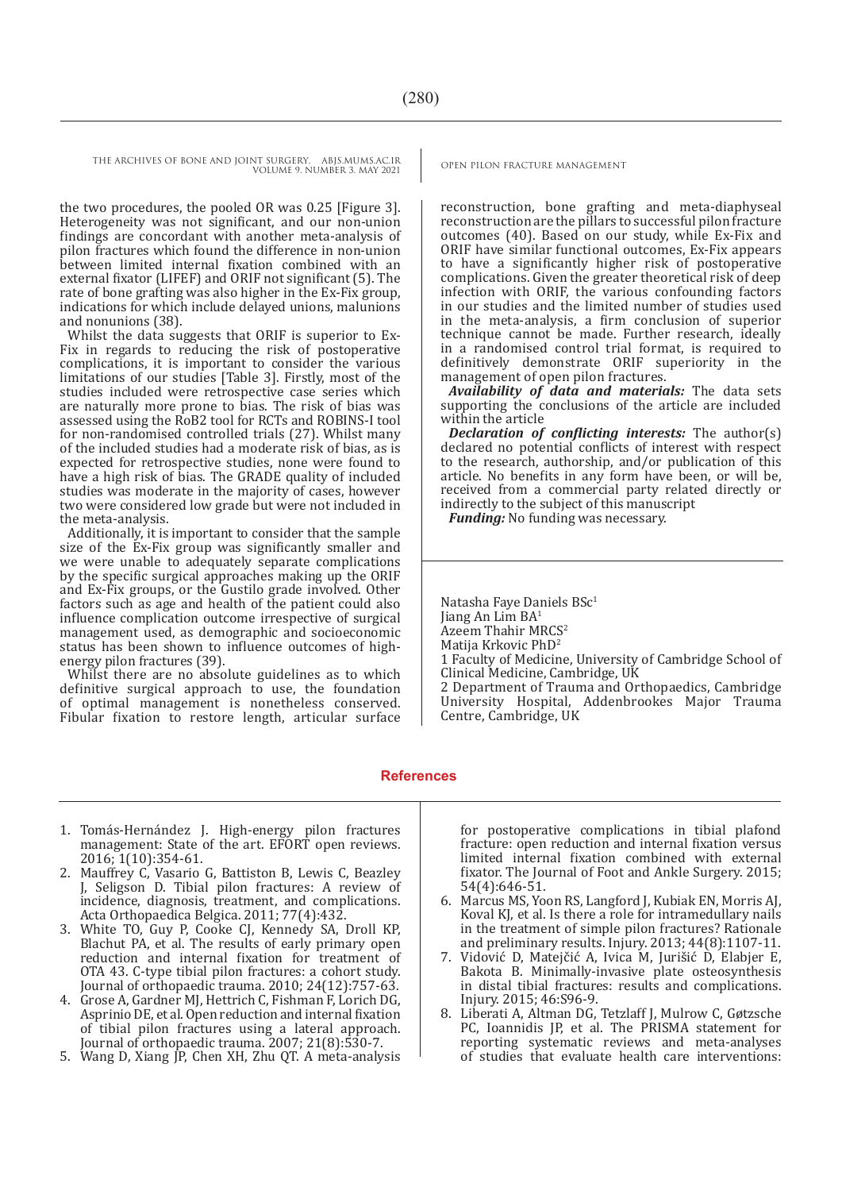the two procedures, the pooled OR was 0.25 [Figure 3]. Heterogeneity was not significant, and our non-union findings are concordant with another meta-analysis of pilon fractures which found the difference in non-union between limited internal fixation combined with an external fixator (LIFEF) and ORIF not significant (5). The rate of bone grafting was also higher in the Ex-Fix group, indications for which include delayed unions, malunions and nonunions (38).

Whilst the data suggests that ORIF is superior to Ex-Fix in regards to reducing the risk of postoperative complications, it is important to consider the various limitations of our studies [Table 3]. Firstly, most of the studies included were retrospective case series which are naturally more prone to bias. The risk of bias was assessed using the RoB2 tool for RCTs and ROBINS-I tool for non-randomised controlled trials (27). Whilst many of the included studies had a moderate risk of bias, as is expected for retrospective studies, none were found to have a high risk of bias. The GRADE quality of included studies was moderate in the majority of cases, however two were considered low grade but were not included in the meta-analysis.

Additionally, it is important to consider that the sample size of the Ex-Fix group was significantly smaller and we were unable to adequately separate complications by the specific surgical approaches making up the ORIF and Ex-Fix groups, or the Gustilo grade involved. Other factors such as age and health of the patient could also influence complication outcome irrespective of surgical management used, as demographic and socioeconomic status has been shown to influence outcomes of highenergy pilon fractures (39).

Whilst there are no absolute guidelines as to which definitive surgical approach to use, the foundation of optimal management is nonetheless conserved. Fibular fixation to restore length, articular surface

reconstruction, bone grafting and meta-diaphyseal reconstruction are the pillars to successful pilon fracture outcomes (40). Based on our study, while Ex-Fix and ORIF have similar functional outcomes, Ex-Fix appears to have a significantly higher risk of postoperative complications. Given the greater theoretical risk of deep infection with ORIF, the various confounding factors in our studies and the limited number of studies used in the meta-analysis, a firm conclusion of superior technique cannot be made. Further research, ideally in a randomised control trial format, is required to definitively demonstrate ORIF superiority in the management of open pilon fractures.

*Availability of data and materials:* The data sets supporting the conclusions of the article are included within the article

*Declaration of conflicting interests:* The author(s) declared no potential conflicts of interest with respect to the research, authorship, and/or publication of this article. No benefits in any form have been, or will be, received from a commercial party related directly or indirectly to the subject of this manuscript

*Funding:* No funding was necessary.

Natasha Faye Daniels BSc<sup>1</sup> Jiang An Lim BA<sup>1</sup> Azeem Thahir MRCS<sup>2</sup> Matija Krkovic PhD2 1 Faculty of Medicine, University of Cambridge School of Clinical Medicine, Cambridge, UK 2 Department of Trauma and Orthopaedics, Cambridge University Hospital, Addenbrookes Major Trauma Centre, Cambridge, UK

#### **References**

- 1. Tomás-Hernández J. High-energy pilon fractures management: State of the art. EFORT open reviews. 2016; 1(10):354-61.
- 2. Mauffrey C, Vasario G, Battiston B, Lewis C, Beazley J, Seligson D. Tibial pilon fractures: A review of incidence, diagnosis, treatment, and complications. Acta Orthopaedica Belgica. 2011; 77(4):432.
- 3. White TO, Guy P, Cooke CJ, Kennedy SA, Droll KP, Blachut PA, et al. The results of early primary open reduction and internal fixation for treatment of OTA 43. C-type tibial pilon fractures: a cohort study. Journal of orthopaedic trauma. 2010; 24(12):757-63.
- 4. Grose A, Gardner MJ, Hettrich C, Fishman F, Lorich DG, Asprinio DE, et al. Open reduction and internal fixation of tibial pilon fractures using a lateral approach. Journal of orthopaedic trauma. 2007; 21(8):530-7.
- 5. Wang D, Xiang JP, Chen XH, Zhu QT. A meta-analysis

for postoperative complications in tibial plafond fracture: open reduction and internal fixation versus limited internal fixation combined with external fixator. The Journal of Foot and Ankle Surgery. 2015; 54(4):646-51.

- 6. Marcus MS, Yoon RS, Langford J, Kubiak EN, Morris AJ, Koval KJ, et al. Is there a role for intramedullary nails in the treatment of simple pilon fractures? Rationale and preliminary results. Injury. 2013; 44(8):1107-11.
- 7. Vidović D, Matejčić A, Ivica M, Jurišić D, Elabjer E, Bakota B. Minimally-invasive plate osteosynthesis in distal tibial fractures: results and complications. Injury. 2015; 46:S96-9.
- 8. Liberati A, Altman DG, Tetzlaff J, Mulrow C, Gøtzsche PC, Ioannidis JP, et al. The PRISMA statement for reporting systematic reviews and meta-analyses of studies that evaluate health care interventions: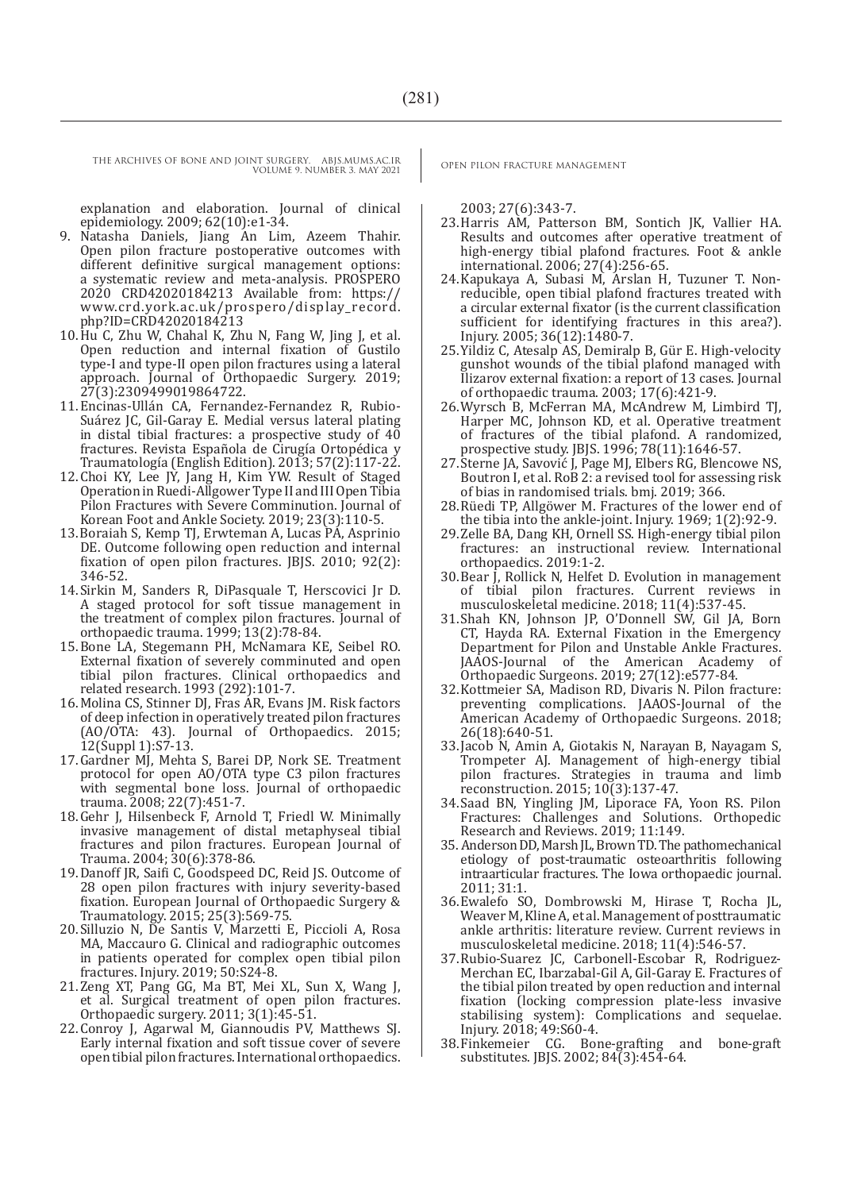explanation and elaboration. Journal of clinical epidemiology. 2009; 62(10):e1-34.

- 9. Natasha Daniels, Jiang An Lim, Azeem Thahir. Open pilon fracture postoperative outcomes with different definitive surgical management options: a systematic review and meta-analysis. PROSPERO 2020 CRD42020184213 Available from: https:// www.crd.york.ac.uk/prospero/display\_record. php?ID=CRD42020184213
- 10.Hu C, Zhu W, Chahal K, Zhu N, Fang W, Jing J, et al. Open reduction and internal fixation of Gustilo type-I and type-II open pilon fractures using a lateral approach. Journal of Orthopaedic Surgery. 2019; 27(3):2309499019864722.
- 11.Encinas-Ullán CA, Fernandez-Fernandez R, Rubio-Suárez JC, Gil-Garay E. Medial versus lateral plating in distal tibial fractures: a prospective study of 40 fractures. Revista Española de Cirugía Ortopédica y Traumatología (English Edition). 2013; 57(2):117-22.
- 12.Choi KY, Lee JY, Jang H, Kim YW. Result of Staged Operation in Ruedi-Allgower Type II and III Open Tibia Pilon Fractures with Severe Comminution. Journal of Korean Foot and Ankle Society. 2019; 23(3):110-5.
- 13.Boraiah S, Kemp TJ, Erwteman A, Lucas PA, Asprinio DE. Outcome following open reduction and internal fixation of open pilon fractures. JBJS. 2010; 92(2): 346-52.
- 14.Sirkin M, Sanders R, DiPasquale T, Herscovici Jr D. A staged protocol for soft tissue management in the treatment of complex pilon fractures. Journal of orthopaedic trauma. 1999; 13(2):78-84.
- 15.Bone LA, Stegemann PH, McNamara KE, Seibel RO. External fixation of severely comminuted and open tibial pilon fractures. Clinical orthopaedics and related research. 1993 (292):101-7.
- 16.Molina CS, Stinner DJ, Fras AR, Evans JM. Risk factors of deep infection in operatively treated pilon fractures (AO/OTA: 43). Journal of Orthopaedics. 2015; 12(Suppl 1):S7-13.
- 17.Gardner MJ, Mehta S, Barei DP, Nork SE. Treatment protocol for open AO/OTA type C3 pilon fractures with segmental bone loss. Journal of orthopaedic trauma. 2008; 22(7):451-7.
- 18.Gehr J, Hilsenbeck F, Arnold T, Friedl W. Minimally invasive management of distal metaphyseal tibial fractures and pilon fractures. European Journal of Trauma. 2004; 30(6):378-86.
- 19.Danoff JR, Saifi C, Goodspeed DC, Reid JS. Outcome of 28 open pilon fractures with injury severity-based fixation. European Journal of Orthopaedic Surgery & Traumatology. 2015; 25(3):569-75.
- 20.Silluzio N, De Santis V, Marzetti E, Piccioli A, Rosa MA, Maccauro G. Clinical and radiographic outcomes in patients operated for complex open tibial pilon fractures. Injury. 2019; 50:S24-8.
- 21.Zeng XT, Pang GG, Ma BT, Mei XL, Sun X, Wang J, et al. Surgical treatment of open pilon fractures. Orthopaedic surgery. 2011; 3(1):45-51.
- 22.Conroy J, Agarwal M, Giannoudis PV, Matthews SJ. Early internal fixation and soft tissue cover of severe open tibial pilon fractures. International orthopaedics.

2003; 27(6):343-7.

- 23.Harris AM, Patterson BM, Sontich JK, Vallier HA. Results and outcomes after operative treatment of high-energy tibial plafond fractures. Foot & ankle international. 2006; 27(4):256-65.
- 24.Kapukaya A, Subasi M, Arslan H, Tuzuner T. Nonreducible, open tibial plafond fractures treated with a circular external fixator (is the current classification sufficient for identifying fractures in this area?). Injury. 2005; 36(12):1480-7.
- 25.Yildiz C, Atesalp AS, Demiralp B, Gür E. High-velocity gunshot wounds of the tibial plafond managed with Ilizarov external fixation: a report of 13 cases. Journal of orthopaedic trauma. 2003; 17(6):421-9.
- 26.Wyrsch B, McFerran MA, McAndrew M, Limbird TJ, Harper MC, Johnson KD, et al. Operative treatment of fractures of the tibial plafond. A randomized, prospective study. JBJS. 1996; 78(11):1646-57.
- 27.Sterne JA, Savović J, Page MJ, Elbers RG, Blencowe NS, Boutron I, et al. RoB 2: a revised tool for assessing risk of bias in randomised trials. bmj. 2019; 366.
- 28.Rüedi TP, Allgöwer M. Fractures of the lower end of the tibia into the ankle-joint. Injury. 1969; 1(2):92-9.
- 29.Zelle BA, Dang KH, Ornell SS. High-energy tibial pilon fractures: an instructional review. International orthopaedics. 2019:1-2.
- 30.Bear J, Rollick N, Helfet D. Evolution in management of tibial pilon fractures. Current reviews musculoskeletal medicine. 2018; 11(4):537-45.
- 31.Shah KN, Johnson JP, O'Donnell SW, Gil JA, Born CT, Hayda RA. External Fixation in the Emergency Department for Pilon and Unstable Ankle Fractures. JAAOS-Journal of the American Academy Orthopaedic Surgeons. 2019; 27(12):e577-84.
- 32.Kottmeier SA, Madison RD, Divaris N. Pilon fracture: preventing complications. JAAOS-Journal of the American Academy of Orthopaedic Surgeons. 2018; 26(18):640-51.
- 33.Jacob N, Amin A, Giotakis N, Narayan B, Nayagam S, Trompeter AJ. Management of high-energy tibial pilon fractures. Strategies in trauma and limb reconstruction. 2015; 10(3):137-47.
- 34.Saad BN, Yingling JM, Liporace FA, Yoon RS. Pilon Fractures: Challenges and Solutions. Orthopedic Research and Reviews. 2019; 11:149.
- 35. Anderson DD, Marsh JL, Brown TD. The pathomechanical etiology of post-traumatic osteoarthritis following intraarticular fractures. The Iowa orthopaedic journal. 2011; 31:1.
- 36.Ewalefo SO, Dombrowski M, Hirase T, Rocha JL, Weaver M, Kline A, et al. Management of posttraumatic ankle arthritis: literature review. Current reviews in musculoskeletal medicine. 2018; 11(4):546-57.
- 37.Rubio-Suarez JC, Carbonell-Escobar R, Rodriguez-Merchan EC, Ibarzabal-Gil A, Gil-Garay E. Fractures of the tibial pilon treated by open reduction and internal fixation (locking compression plate-less invasive stabilising system): Complications and sequelae. Injury. 2018; 49:S60-4.
- 38.Finkemeier CG. Bone-grafting and bone-graft substitutes. JBJS. 2002; 84(3):454-64.